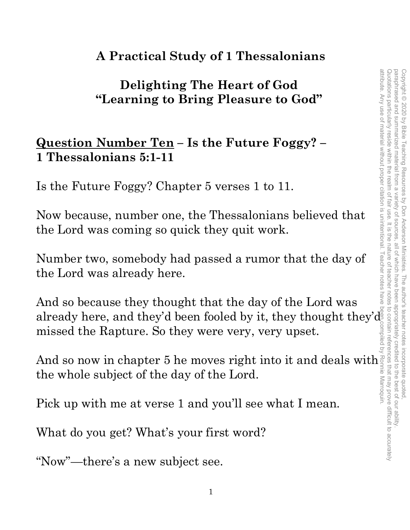#### **A Practical Study of 1 Thessalonians**

#### **Delighting The Heart of God "Learning to Bring Pleasure to God"**

#### **Question Number Ten – Is the Future Foggy? – 1 Thessalonians 5:1-11**

Is the Future Foggy? Chapter 5 verses 1 to 11.

Now because, number one, the Thessalonians believed that the Lord was coming so quick they quit work.

Number two, somebody had passed a rumor that the day of the Lord was already here.

And so because they thought that the day of the Lord was already here, and they'd been fooled by it, they thought they'd missed the Rapture. So they were very, very upset.

And so now in chapter 5 he moves right into it and deals with  $\epsilon$ the whole subject of the day of the Lord.

Pick up with me at verse 1 and you'll see what I mean.

What do you get? What's your first word?

"Now"—there's a new subject see.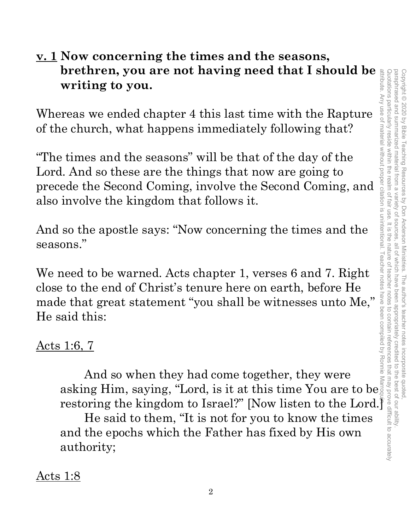#### **v. 1 Now concerning the times and the seasons, brethren, you are not having need that I should be writing to you.**

Whereas we ended chapter 4 this last time with the Rapture of the church, what happens immediately following that?

"The times and the seasons" will be that of the day of the Lord. And so these are the things that now are going to precede the Second Coming, involve the Second Coming, and also involve the kingdom that follows it.

And so the apostle says: "Now concerning the times and the seasons."

We need to be warned. Acts chapter 1, verses 6 and 7. Right close to the end of Christ's tenure here on earth, before He made that great statement "you shall be witnesses unto Me," He said this:

#### Acts 1:6, 7

And so when they had come together, they were asking Him, saying, "Lord, is it at this time You are to be restoring the kingdom to Israel?" [Now listen to the Lord.] He said to them, "It is not for you to know the times and the epochs which the Father has fixed by His own authority;

Acts 1:8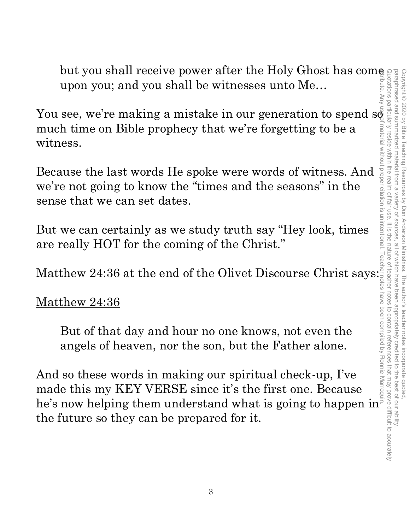but you shall receive power after the Holy Ghost has come upon you; and you shall be witnesses unto Me…

You see, we're making a mistake in our generation to spend  $s\bar{g}$ much time on Bible prophecy that we're forgetting to be a witness.

Because the last words He spoke were words of witness. And we're not going to know the "times and the seasons" in the sense that we can set dates.

But we can certainly as we study truth say "Hey look, times are really HOT for the coming of the Christ."

Matthew 24:36 at the end of the Olivet Discourse Christ says:

#### Matthew 24:36

But of that day and hour no one knows, not even the angels of heaven, nor the son, but the Father alone.

And so these words in making our spiritual check-up, I've made this my KEY VERSE since it's the first one. Because he's now helping them understand what is going to happen in $^{\text{\texttt{F}}}$ the future so they can be prepared for it.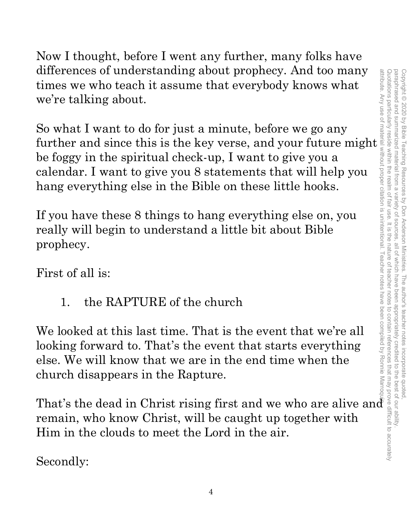Now I thought, before I went any further, many folks have differences of understanding about prophecy. And too many times we who teach it assume that everybody knows what we're talking about.

So what I want to do for just a minute, before we go any further and since this is the key verse, and your future might  $\vert$ be foggy in the spiritual check-up, I want to give you a calendar. I want to give you 8 statements that will help you hang everything else in the Bible on these little hooks.

If you have these 8 things to hang everything else on, you really will begin to understand a little bit about Bible prophecy.

First of all is:

1. the RAPTURE of the church

We looked at this last time. That is the event that we're all looking forward to. That's the event that starts everything else. We will know that we are in the end time when the church disappears in the Rapture.

That's the dead in Christ rising first and we who are alive and remain, who know Christ, will be caught up together with Him in the clouds to meet the Lord in the air.

Secondly: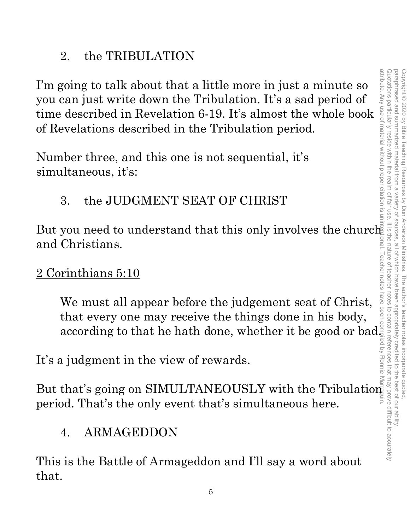2. the TRIBULATION

I'm going to talk about that a little more in just a minute so you can just write down the Tribulation. It's a sad period of time described in Revelation 6-19. It's almost the whole book of Revelations described in the Tribulation period.

Number three, and this one is not sequential, it's simultaneous, it's:

3. the JUDGMENT SEAT OF CHRIST

But you need to understand that this only involves the church and Christians.

2 Corinthians 5:10

We must all appear before the judgement seat of Christ, that every one may receive the things done in his body, according to that he hath done, whether it be good or bad.

It's a judgment in the view of rewards.

But that's going on SIMULTANEOUSLY with the Tribulation period. That's the only event that's simultaneous here.

# 4. ARMAGEDDON

This is the Battle of Armageddon and I'll say a word about that.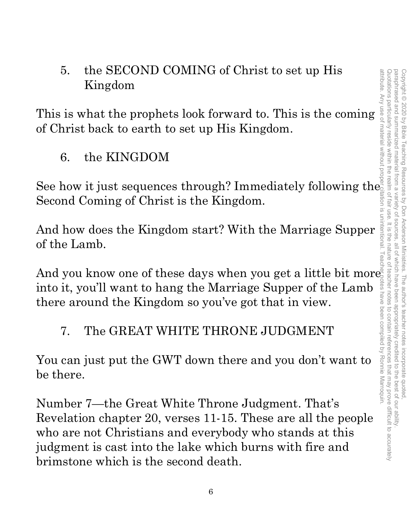#### 5. the SECOND COMING of Christ to set up His Kingdom

This is what the prophets look forward to. This is the coming of Christ back to earth to set up His Kingdom.

6. the KINGDOM

See how it just sequences through? Immediately following the Second Coming of Christ is the Kingdom.

And how does the Kingdom start? With the Marriage Supper of the Lamb.

And you know one of these days when you get a little bit more into it, you'll want to hang the Marriage Supper of the Lamb there around the Kingdom so you've got that in view.

7. The GREAT WHITE THRONE JUDGMENT

You can just put the GWT down there and you don't want to be there.

Number 7—the Great White Throne Judgment. That's Revelation chapter 20, verses 11-15. These are all the people who are not Christians and everybody who stands at this judgment is cast into the lake which burns with fire and brimstone which is the second death.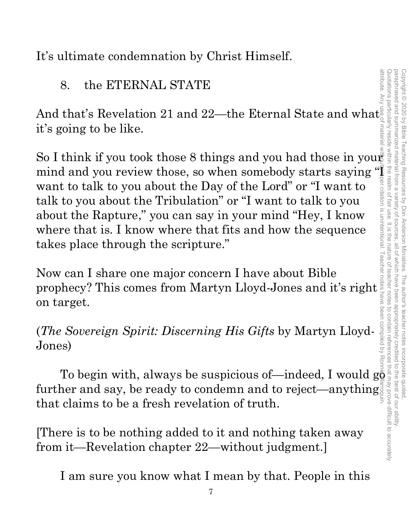It's ultimate condemnation by Christ Himself.

8. the ETERNAL STATE

And that's Revelation 21 and 22—the Eternal State and what $_{\circ}^{\mathbb{R}}$ materia it's going to be like.

So I think if you took those 8 things and you had those in your mind and you review those, so when somebody starts saying want to talk to you about the Day of the Lord" or "I want to talk to you about the Tribulation" or mind and you review those, so when somebody starts saying "I want to talk to you about the Day of the Lord" or "I want to talk to you about the Tribulation" or "I want to talk to you about the Rapture," you can say in your mind "Hey, I know where that is. I know where that fits and how the sequence takes place through the scripture."

Now can I share one major concern I have about Bible prophecy? This comes from Martyn Lloyd-Jones and it's right on target.

(*The Sovereign Spirit: Discerning His Gifts* by Martyn Lloyd-Jones)

To begin with, always be suspicious of—indeed, I would  $g\bar{g}$  : further and say, be ready to condemn and to reject—anything that claims to be a fresh revelation of truth. attribute. Any use of material without proper citation is unintentional. Teacher notes have been compiled by Ronnie Marroquin.

[There is to be nothing added to it and nothing taken away from it—Revelation chapter 22—without judgment.]

I am sure you know what I mean by that. People in this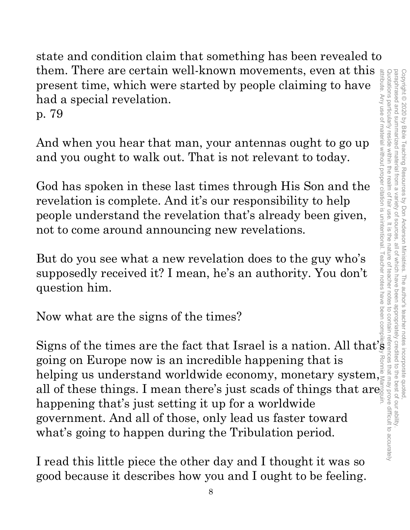state and condition claim that something has been revealed to them. There are certain well-known movements, even at this present time, which were started by people claiming to have had a special revelation. p. 79

And when you hear that man, your antennas ought to go up and you ought to walk out. That is not relevant to today.

God has spoken in these last times through His Son and the revelation is complete. And it's our responsibility to help people understand the revelation that's already been given, not to come around announcing new revelations.

But do you see what a new revelation does to the guy who's supposedly received it? I mean, he's an authority. You don't question him.

Now what are the signs of the times?

Signs of the times are the fact that Israel is a nation. All that's going on Europe now is an incredible happening that is going on Europe now is an incredible happening that is helping us understand worldwide economy, monetary system, all of these things. I mean there's just scads of things that are  $\frac{1}{2}$ happening that's just setting it up for a worldwide government. And all of those, only lead us faster toward what's going to happen during the Tribulation period.

I read this little piece the other day and I thought it was so good because it describes how you and I ought to be feeling.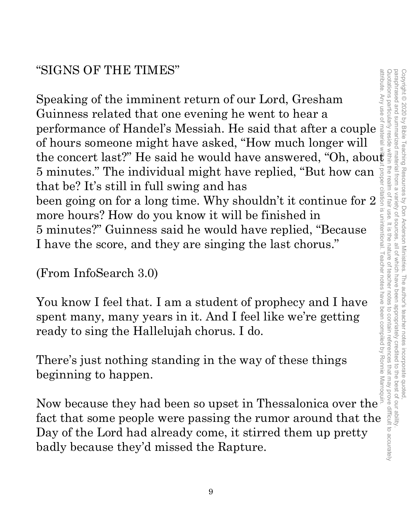Speaking of the imminent return of our Lord, Gresham Guinness related that one evening he went to hear a performance of Handel's Messiah. He said that after a couple of hours someone might have asked, "How much longer will the concert last?" He said he would have answered, "Oh, about 5 minutes." The individual might have replied, "But how can  $\frac{3}{8}$  that be? It's still in full swing and has<br>been going on for a long time. Why shouldn't it continue for  $2\frac{1}{8}$  more hours? How do you know it will b that be? It's still in full swing and has been going on for a long time. Why shouldn't it continue for 2 more hours? How do you know it will be finished in 5 minutes?" Guinness said he would have replied, "Because I have the score, and they are singing the last chorus."

(From InfoSearch 3.0)

You know I feel that. I am a student of prophecy and I have spent many, many years in it. And I feel like we're getting ready to sing the Hallelujah chorus. I do.

There's just nothing standing in the way of these things beginning to happen.

Now because they had been so upset in Thessalonica over the fact that some people were passing the rumor around that the Day of the Lord had already come, it stirred them up pretty badly because they'd missed the Rapture.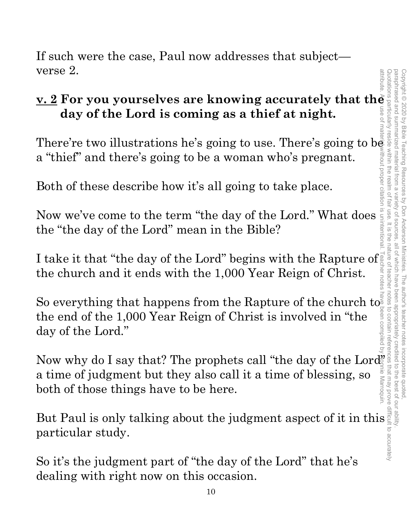If such were the case, Paul now addresses that subject verse 2.

# verse 2.<br> **v. 2 For you yourselves are knowing accurately that the algebra day of the Lord is coming as a thief at night.**<br>
There're two illustrations he's going to use. There's going to be<br>
a "thief" and there's going to **day of the Lord is coming as a thief at night.**

There're two illustrations he's going to use. There's going to  $b$  $\frac{1}{2}$ a "thief" and there's going to be a woman who's pregnant.

Both of these describe how it's all going to take place.

a "thief" and there's going to be a woman who's pregnant.<br>Both of these describe how it's all going to take place.<br>Now we've come to the term "the day of the Lord." What does the "the day of the Lord" mean in the Bible? the "the day of the Lord" mean in the Bible?

I take it that "the day of the Lord" begins with the Rapture of  $\frac{1}{3}$ <br>the church and it ends with the 1,000 Year Reign of Christ. the church and it ends with the 1,000 Year Reign of Christ.

So everything that happens from the Rapture of the church to the end of the 1,000 Year Reign of Christ is involved in "the day of the Lord."

Now why do I say that? The prophets call "the day of the Lord" a time of judgment but they also call it a time of blessing, so both of those things have to be here. Now why do I say that? The prophets call "the day of the Lord"<br>
a time of judgment but they also call it a time of blessing, so  $\frac{1}{\frac{2}{3}}\frac{1}{\frac{2}{3}}\frac{1}{\frac{2}{3}}$ <br>
both of those things have to be here.<br>
But Paul is on

particular study.

So it's the judgment part of "the day of the Lord" that he's dealing with right now on this occasion.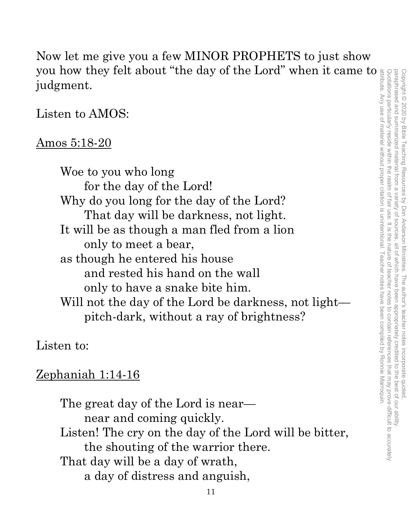Quotations particularly reside within the realm of fair use. It is the nature of teacher notes to contain references that may prove difficult to accurately paraphrased and summarized material from a variety of sources. attribute. Any use of material without proper citation is unintentional. Teacher notes have been compiled by Ronnie Marroquin.Quotations particularly reside within the realm of fair use. It is the nature of teacher notes to contain references that may prove difficult to accurately paraphrased and summarized material from a variety of sources, all of which have been appropriately credited to the best of our ability. Copyright © 2020 by Bible Teaching Resources by Don Anderson Ministries. The author's teacher notes incorporate quoted Copyright © 2020 by Bible Teaching Resources by Don Anderson Ministries. The author's teacher notes incorporate quoted, all of which have been appropriately credited to the best of our ability

Now let me give you a few MINOR PROPHETS to just show you how they felt about "the day of the Lord" when it came to judgment.

Listen to AMOS:

#### Amos 5:18-20

Woe to you who long for the day of the Lord! Why do you long for the day of the Lord? That day will be darkness, not light. It will be as though a man fled from a lion only to meet a bear, as though he entered his house and rested his hand on the wall only to have a snake bite him. Will not the day of the Lord be darkness, not light pitch-dark, without a ray of brightness?

Listen to:

#### Zephaniah 1:14-16

The great day of the Lord is near near and coming quickly. Listen! The cry on the day of the Lord will be bitter, the shouting of the warrior there. That day will be a day of wrath, a day of distress and anguish,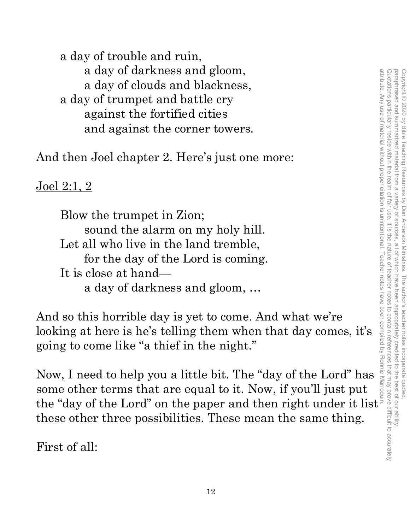a day of trouble and ruin, a day of darkness and gloom, a day of clouds and blackness, a day of trumpet and battle cry against the fortified cities and against the corner towers.

And then Joel chapter 2. Here's just one more:

Joel 2:1, 2

Blow the trumpet in Zion; sound the alarm on my holy hill. Let all who live in the land tremble, for the day of the Lord is coming. It is close at hand a day of darkness and gloom, … a day of darkness and gloom,<br>
a day of chuods and backhees,<br>
a day of trumpet and battle cry<br>
against the fortified cities<br>
and against the corner towers.<br>
And then Joel chapter 2. Here's just one more:<br>
Joel 2:1, 2<br>
Blow

And so this horrible day is yet to come. And what we're looking at here is he's telling them when that day comes, it's going to come like "a thief in the night."

Now, I need to help you a little bit. The "day of the Lord" has some other terms that are equal to it. Now, if you'll just put these other three possibilities. These mean the same thing.

First of all: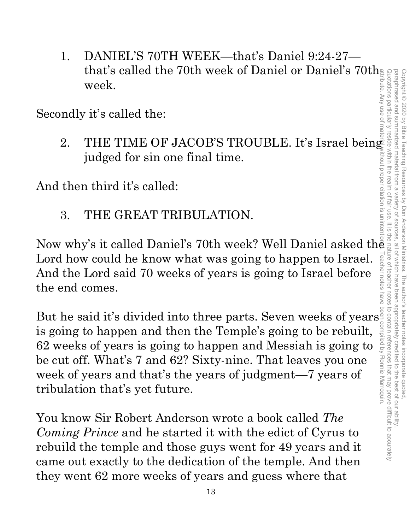1. DANIEL'S 70TH WEEK—that's Daniel 9:24-27 that's called the 70th week of Daniel or Daniel's 70th $_{\widetilde{\Xi}}$ week.

Secondly it's called the:

2. THE TIME OF JACOB'S TROUBLE. It's Israel being judged for sin one final time.

And then third it's called:

3. THE GREAT TRIBULATION.

Now why's it called Daniel's 70th week? Well Daniel asked the Lord how could he know what was going to happen to Israel. And the Lord said 70 weeks of years is going to Israel before the end comes.

But he said it's divided into three parts. Seven weeks of years is going to happen and then the Temple's going to be rebuilt, 62 weeks of years is going to happen and Messiah is going to be cut off. What's 7 and 62? Sixty-nine. That leaves you one week of years and that's the years of judgment—7 years of tribulation that's yet future.

You know Sir Robert Anderson wrote a book called *The Coming Prince* and he started it with the edict of Cyrus to rebuild the temple and those guys went for 49 years and it came out exactly to the dedication of the temple. And then they went 62 more weeks of years and guess where that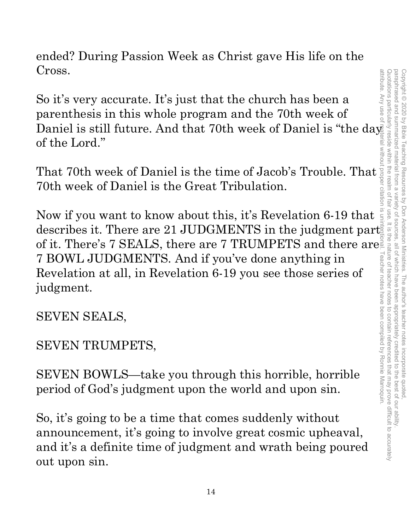ended? During Passion Week as Christ gave His life on the Cross.

So it's very accurate. It's just that the church has been a parenthesis in this whole program and the 70th week of Daniel is still future. And that 70th week of Daniel is "the day of the Lord."

That 70th week of Daniel is the time of Jacob's Trouble. That 70th week of Daniel is the Great Tribulation.

Now if you want to know about this, it's Revelation 6-19 that describes it. There are 21 JUDGMENTS in the judgment part of it. There's 7 SEALS, there are 7 TRUMPETS and there are  $\frac{1}{2}$ <br>
7 BOWL JUDGMENTS. And if you've done anything in<br>
Revelation at all, in Revelation 6-19 you see those series of<br>
judgment.<br>
SEVEN SEALS,<br>
SEVEN TRUMPETS 7 BOWL JUDGMENTS. And if you've done anything in Revelation at all, in Revelation 6-19 you see those series of judgment.

SEVEN SEALS,

# SEVEN TRUMPETS,

SEVEN BOWLS—take you through this horrible, horrible period of God's judgment upon the world and upon sin.

So, it's going to be a time that comes suddenly without announcement, it's going to involve great cosmic upheaval, and it's a definite time of judgment and wrath being poured out upon sin.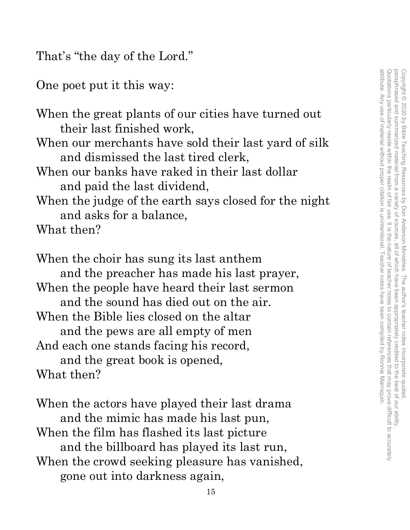That's "the day of the Lord."

One poet put it this way:

When the great plants of our cities have turned out their last finished work, When our merchants have sold their last yard of silk and dismissed the last tired clerk, When our banks have raked in their last dollar and paid the last dividend, When the judge of the earth says closed for the night and asks for a balance, What then?

When the choir has sung its last anthem and the preacher has made his last prayer, When the people have heard their last sermon and the sound has died out on the air. When the Bible lies closed on the altar and the pews are all empty of men And each one stands facing his record, and the great book is opened, What then?

When the actors have played their last drama and the mimic has made his last pun, When the film has flashed its last picture and the billboard has played its last run, When the crowd seeking pleasure has vanished, gone out into darkness again,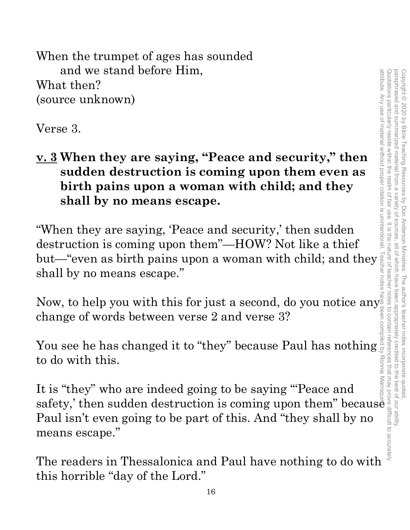When the trumpet of ages has sounded and we stand before Him, What then? (source unknown)

Verse 3.

#### **v. 3 When they are saying, "Peace and security," then sudden destruction is coming upon them even as birth pains upon a woman with child; and they shall by no means escape.**

"When they are saying, 'Peace and security,' then sudden destruction is coming upon them"—HOW? Not like a thief but—"even as birth pains upon a woman with child; and they shall by no means escape."

Now, to help you with this for just a second, do you notice any. change of words between verse 2 and verse 3?

You see he has changed it to "they" because Paul has nothing to do with this.

It is "they" who are indeed going to be saying "'Peace and safety,' then sudden destruction is coming upon them" becaus $\bar{\bar{e}}$  ; Paul isn't even going to be part of this. And "they shall by no means escape."

The readers in Thessalonica and Paul have nothing to do with this horrible "day of the Lord."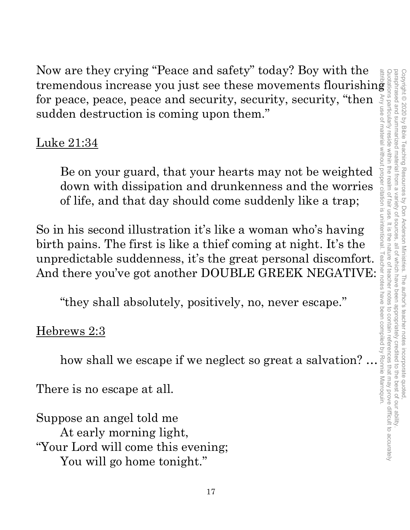paraphrased and summarized material from a variety of sources attribute. Any use of material without proper citation is unintentional. Teacher notes have been compiled by Ronnie Marroquin.Quotations particularly reside within the realm of fair use. It is the nature of teacher notes to contain references that may prove difficult to accurately paraphrased and summarized material from a variety of sources, all of which have been appropriately credited to the best of our ability. Copyright © 2020 by Bible Teaching Resources by Don Anderson Ministries. The author's teacher notes incorporate quoted Copyright © 2020 by Bible Teaching Resources by Don Anderson Ministries. The author's teacher notes incorporate quoted, , all of which have been appropriately credited to the best of our ability

Now are they crying "Peace and safety" today? Boy with the for peace, peace, peace and security, security, security, "then sudden destruction is coming upon them."

#### Luke 21:34

Be on your guard, that your hearts may not be weighted down with dissipation and drunkenness and the worries of life, and that day should come suddenly like a trap;

Now are they crying "Peace and safety" today? Boy with the irremendous increase you just see these movements flourishing<br>for peace, peace, peace and security, security, security, "then<br>sudden destruction is coming upon th So in his second illustration it's like a woman who's having birth pains. The first is like a thief coming at night. It's the for peace, peace, peace and security, security, security, "then<br>
sudden destruction is coming upon them."<br>
Luke 21:34<br>
Be on your guard, that your hearts may not be weighted<br>
down with dissipation and drunkenness and the And there you've got another DOUBLE GREEK NEGATIVE:

"they shall absolutely, positively, no, never escape."

# Hebrews 2:3

how shall we escape if we neglect so great a salvation? …

There is no escape at all.

Suppose an angel told me At early morning light, "Your Lord will come this evening; You will go home tonight."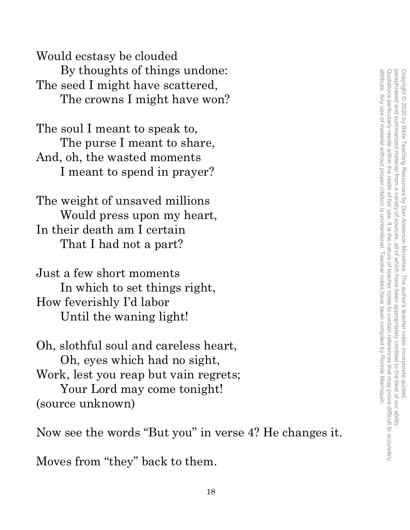Would ecstasy be clouded By thoughts of things undone: The seed I might have scattered, The crowns I might have won?

The soul I meant to speak to, The purse I meant to share, And, oh, the wasted moments I meant to spend in prayer?

The weight of unsaved millions Would press upon my heart, In their death am I certain That I had not a part?

Just a few short moments In which to set things right, How feverishly I'd labor Until the waning light!

Oh, slothful soul and careless heart, Oh, eyes which had no sight, Work, lest you reap but vain regrets; Your Lord may come tonight! (source unknown)

Now see the words "But you" in verse 4? He changes it.

Moves from "they" back to them.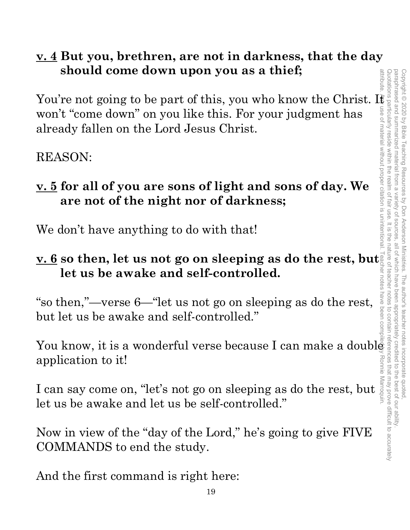#### **v. 4 But you, brethren, are not in darkness, that the day should come down upon you as a thief;**

Should come down upon you as a thier;<br>
You're not going to be part of this, you who know the Christ. It was a<br>
already fallen on the Lord Jesus Christ.<br>
REASON:<br>
<u>v. 5</u> for all of you are sons of light and sons of day. We won't "come down" on you like this. For your judgment has already fallen on the Lord Jesus Christ.

#### REASON:

# **v. 5 for all of you are sons of light and sons of day. We are not of the night nor of darkness;**

We don't have anything to do with that!

#### **v. 6 so then, let us not go on sleeping as do the rest, but let us be awake and self-controlled.**

"so then,"—verse 6—"let us not go on sleeping as do the rest, but let us be awake and self-controlled."

You know, it is a wonderful verse because I can make a doubl $\tilde{\mathbf{g}}$ application to it!

I can say come on, "let's not go on sleeping as do the rest, but let us be awake and let us be self-controlled."

Now in view of the "day of the Lord," he's going to give FIVE COMMANDS to end the study.

And the first command is right here: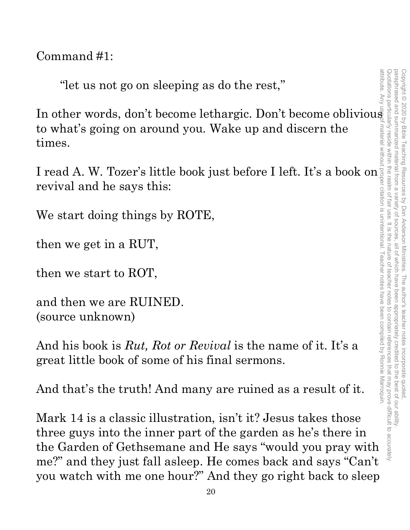Command #1:

"let us not go on sleeping as do the rest,"

In other words, don't become lethargic. Don't become oblivious to what's going on around you. Wake up and discern the times.

I read A. W. Tozer's little book just before I left. It's a book on revival and he says this:

We start doing things by ROTE,

then we get in a RUT,

then we start to ROT,

and then we are RUINED. (source unknown)

And his book is *Rut, Rot or Revival* is the name of it. It's a great little book of some of his final sermons.

And that's the truth! And many are ruined as a result of it.

Mark 14 is a classic illustration, isn't it? Jesus takes those three guys into the inner part of the garden as he's there in the Garden of Gethsemane and He says "would you pray with me?" and they just fall asleep. He comes back and says "Can't you watch with me one hour?" And they go right back to sleep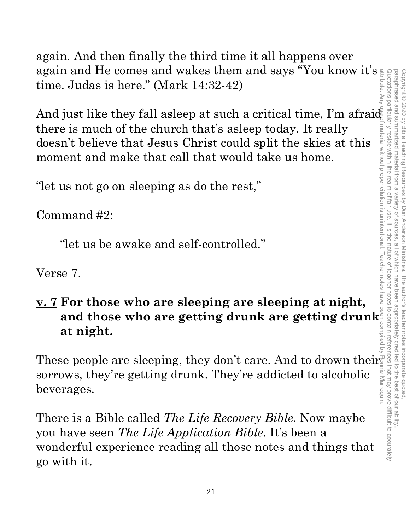again. And then finally the third time it all happens over again and He comes and wakes them and says "You know it's time. Judas is here." (Mark 14:32-42)

And just like they fall asleep at such a critical time, I'm afraid  $\bar{\mathbb{S}}$ there is much of the church that's asleep today. It really doesn't believe that Jesus Christ could split the skies at this moment and make that call that would take us home.

"let us not go on sleeping as do the rest,"

Command #2:

"let us be awake and self-controlled."

Verse 7.

# **v. 7 For those who are sleeping are sleeping at night, and those who are getting drunk are getting drunk at night.**

These people are sleeping, they don't care. And to drown their<sup>s</sup> sorrows, they're getting drunk. They're addicted to alcoholic beverages.

There is a Bible called *The Life Recovery Bible*. Now maybe you have seen *The Life Application Bible*. It's been a wonderful experience reading all those notes and things that go with it.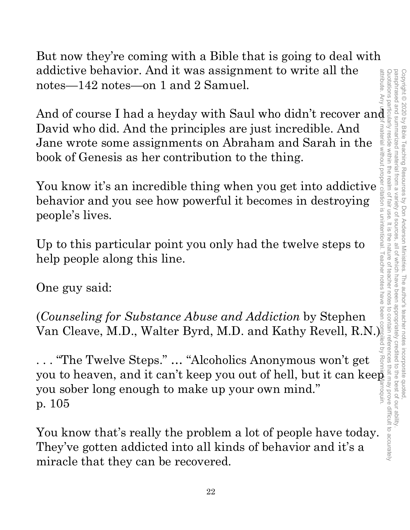But now they're coming with a Bible that is going to deal with addictive behavior. And it was assignment to write all the notes—142 notes—on 1 and 2 Samuel.

And of course I had a heyday with Saul who didn't recover and David who did. And the principles are just incredible. And Jane wrote some assignments on Abraham and Sarah in the book of Genesis as her contribution to the thing.

You know it's an incredible thing when you get into addictive behavior and you see how powerful it becomes in destroying people's lives.

Up to this particular point you only had the twelve steps to help people along this line.

One guy said:

(*Counseling for Substance Abuse and Addiction* by Stephen Van Cleave, M.D., Walter Byrd, M.D. and Kathy Revell, R.N.)

. . . "The Twelve Steps." … "Alcoholics Anonymous won't get you to heaven, and it can't keep you out of hell, but it can kee $\bar{\mathbf{\Phi}}$ you sober long enough to make up your own mind." p. 105

You know that's really the problem a lot of people have today. They've gotten addicted into all kinds of behavior and it's a miracle that they can be recovered.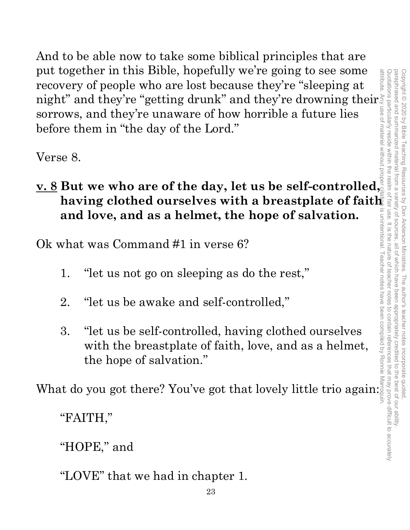And to be able now to take some biblical principles that are put together in this Bible, hopefully we're going to see some recovery of people who are lost because they're "sleeping at night" and they're "getting drunk" and they're drowning their sorrows, and they're unaware of how horrible a future lies before them in "the day of the Lord."

Verse 8.

**v. 8 But we who are of the day, let us be self-controlled,**  having clothed ourselves with a breastplate of faith **and love, and as a helmet, the hope of salvation.**

Ok what was Command #1 in verse 6?

- 1. "let us not go on sleeping as do the rest,"
- 2. "let us be awake and self-controlled,"
- 3. "let us be self-controlled, having clothed ourselves with the breastplate of faith, love, and as a helmet, the hope of salvation."

What do you got there? You've got that lovely little trio again:

"FAITH,"

"HOPE," and

"LOVE" that we had in chapter 1.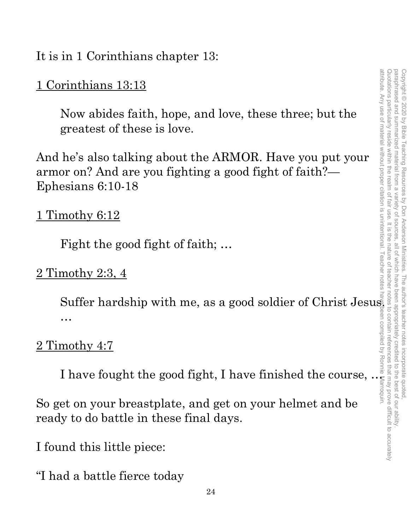It is in 1 Corinthians chapter 13:

#### 1 Corinthians 13:13

Now abides faith, hope, and love, these three; but the greatest of these is love.

And he's also talking about the ARMOR. Have you put your armor on? And are you fighting a good fight of faith?— Ephesians 6:10-18

1 Timothy 6:12

Fight the good fight of faith; …

2 Timothy 2:3, 4

Suffer hardship with me, as a good soldier of Christ Jesus. …

#### 2 Timothy 4:7

I have fought the good fight, I have finished the course,  $\ldots$ 

So get on your breastplate, and get on your helmet and be ready to do battle in these final days.

I found this little piece:

"I had a battle fierce today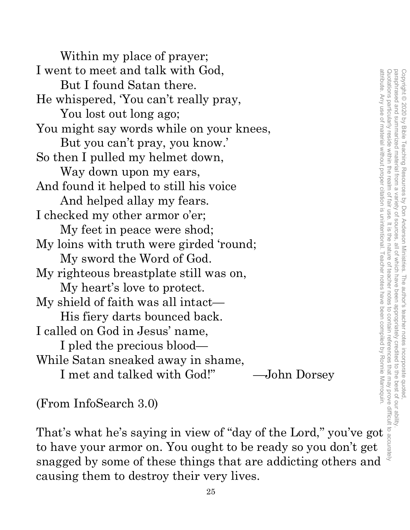Within my place of prayer; I went to meet and talk with God, But I found Satan there. He whispered, 'You can't really pray, You lost out long ago; You might say words while on your knees, But you can't pray, you know.' So then I pulled my helmet down, Way down upon my ears, And found it helped to still his voice And helped allay my fears. I checked my other armor o'er; My feet in peace were shod; My loins with truth were girded 'round; My sword the Word of God. My righteous breastplate still was on, My heart's love to protect. My shield of faith was all intact— His fiery darts bounced back. I called on God in Jesus' name, I pled the precious blood— While Satan sneaked away in shame, I met and talked with God!" —John Dorsey The momentum of metallon and the words which will very discussed.<br>
The whispered, You can't really pray,<br>
You lost out long ago;<br>
You lost out long ago;<br>
You lost out long ago;<br>
You lost out long ago;<br>
So then I pulled my

Copyright © 2020 by Bible Teaching Resources by Don Anderson Ministries. The author's teacher notes incorporate quoted,

Copyright © 2020 by Bible Teaching Resources by Don Anderson Ministries. The author's teacher notes incorporate quoted

paraphrased and summarized material from a variety of sources, all of which have been appropriately credited to the best of our ability.

, all of which have been appropriately credited to the best of our ability

paraphrased and summarized material from a variety of sources.

attribute. Any use of material without proper citation is unintentional. Teacher notes have been compiled by Ronnie Marroquin. attribute. Any use of material without proper citation is unintentional. Teacher notes have been compiled by Ronnie Marroquin.

(From InfoSearch 3.0)

to have your armor on. You ought to be ready so you don't get snagged by some of these things that are addicting others and causing them to destroy their very lives. Quotations particularly reside within the realm of fair use. It is the nature of teacher notes to contain references that may prove difficult to accurately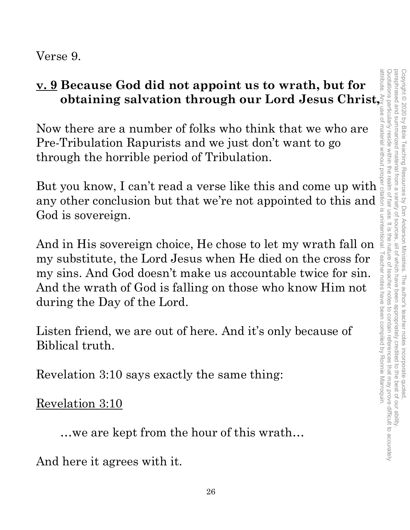Verse 9.

# **v. 9 Because God did not appoint us to wrath, but for obtaining salvation through our Lord Jesus Christ,**

Now there are a number of folks who think that we who are Pre-Tribulation Rapurists and we just don't want to go through the horrible period of Tribulation.

any other conclusion but that we're not appointed to this and God is sovereign.

Now there are a number of folks who think that we who are<br>
Pre-Tribulation Rapurists and we just don't want to go<br>
through the horrible period of Tribulation.<br>
But you know, I can't read a verse like this and come up with And in His sovereign choice, He chose to let my wrath fall on my substitute, the Lord Jesus when He died on the cross for my sins. And God doesn't make us accountable twice for sin. And the wrath of God is falling on those who know Him not during the Day of the Lord.

Listen friend, we are out of here. And it's only because of Biblical truth.

Revelation 3:10 says exactly the same thing:

Revelation 3:10

…we are kept from the hour of this wrath…

And here it agrees with it.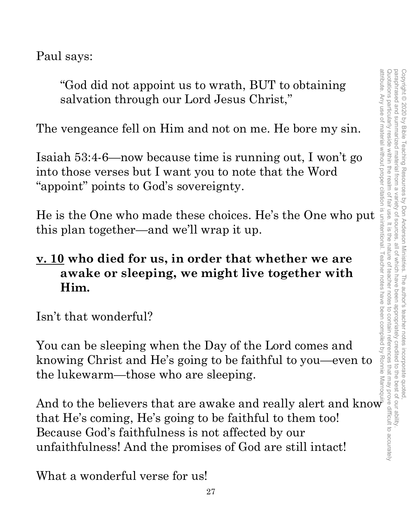Paul says:

"God did not appoint us to wrath, BUT to obtaining salvation through our Lord Jesus Christ,"

The vengeance fell on Him and not on me. He bore my sin.

Isaiah 53:4-6—now because time is running out, I won't go into those verses but I want you to note that the Word "appoint" points to God's sovereignty.

He is the One who made these choices. He's the One who put this plan together—and we'll wrap it up.

#### **v. 10 who died for us, in order that whether we are awake or sleeping, we might live together with Him.**

Isn't that wonderful?

You can be sleeping when the Day of the Lord comes and knowing Christ and He's going to be faithful to you—even to the lukewarm—those who are sleeping.

And to the believers that are awake and really alert and know  $\bar{\mathrm{v}}$ that He's coming, He's going to be faithful to them too! Because God's faithfulness is not affected by our unfaithfulness! And the promises of God are still intact!

What a wonderful verse for us!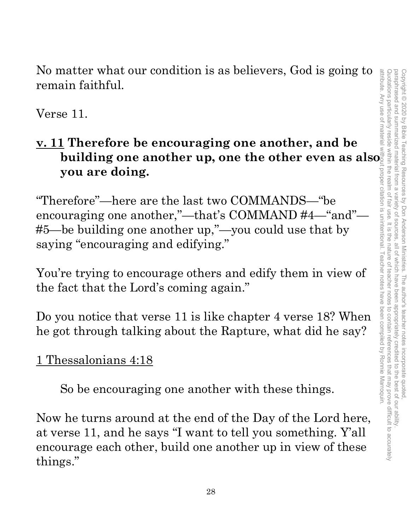No matter what our condition is as believers, God is going to remain faithful.

Verse 11.

# **v. 11 Therefore be encouraging one another, and be building one another up, one the other even as also** $\frac{1}{2}$ **you are doing.** attribute. Any use of material without proper citation is unintentional. Teacher notes have been compiled by Ronnie Marroquin.

"Therefore"—here are the last two COMMANDS—"be encouraging one another,"—that's COMMAND #4—"and"— #5—be building one another up,"—you could use that by saying "encouraging and edifying."

You're trying to encourage others and edify them in view of the fact that the Lord's coming again."

Do you notice that verse 11 is like chapter 4 verse 18? When he got through talking about the Rapture, what did he say?

#### 1 Thessalonians 4:18

So be encouraging one another with these things.

Now he turns around at the end of the Day of the Lord here, at verse 11, and he says "I want to tell you something. Y'all encourage each other, build one another up in view of these things."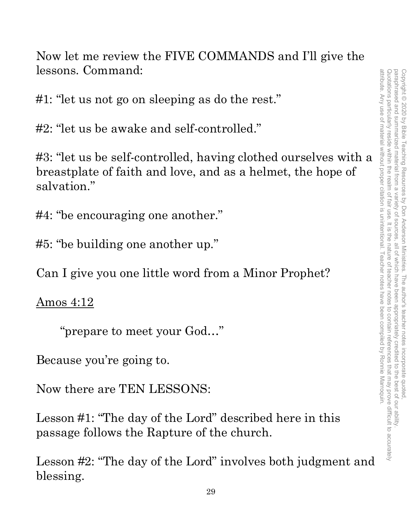Now let me review the FIVE COMMANDS and I'll give the lessons. Command:

#1: "let us not go on sleeping as do the rest."

#2: "let us be awake and self-controlled."

#3: "let us be self-controlled, having clothed ourselves with a breastplate of faith and love, and as a helmet, the hope of salvation."

#4: "be encouraging one another."

#5: "be building one another up."

Can I give you one little word from a Minor Prophet?

Amos 4:12

"prepare to meet your God…"

Because you're going to.

Now there are TEN LESSONS:

Lesson #1: "The day of the Lord" described here in this passage follows the Rapture of the church.

Lesson #2: "The day of the Lord" involves both judgment and blessing.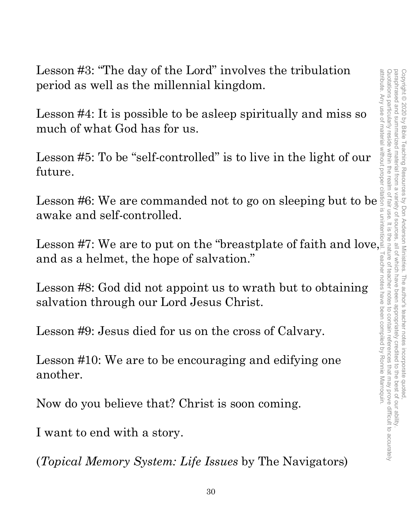Lesson #3: "The day of the Lord" involves the tribulation period as well as the millennial kingdom.

Lesson #4: It is possible to be asleep spiritually and miss so much of what God has for us.

Lesson #5: To be "self-controlled" is to live in the light of our future.

Lesson #6: We are commanded not to go on sleeping but to be awake and self-controlled.

Lesson #7: We are to put on the "breastplate of faith and love, and as a helmet, the hope of salvation."

Lesson #8: God did not appoint us to wrath but to obtaining salvation through our Lord Jesus Christ.

Lesson #9: Jesus died for us on the cross of Calvary.

Lesson #10: We are to be encouraging and edifying one another.

Now do you believe that? Christ is soon coming.

I want to end with a story.

(*Topical Memory System: Life Issues* by The Navigators)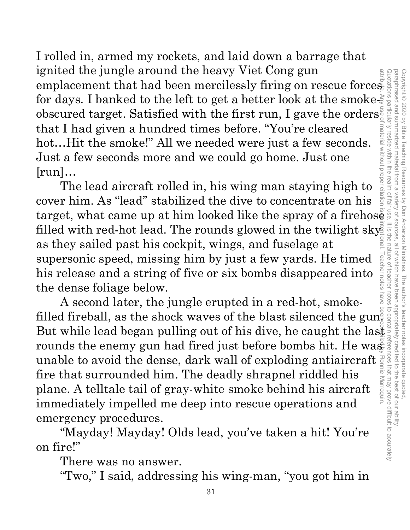I rolled in, armed my rockets, and laid down a barrage that ignited the jungle around the heavy Viet Cong gun ignited the jungle around the heavy Viet Cong gun<br>
emplacement that had been mercilessly firing on rescue forces<br>
for days. I banked to the left to get a better look at the smoke-<br>
obscured target. Satisfied with the firs for days. I banked to the left to get a better look at the smokeobscured target. Satisfied with the first run, I gave the orders that I had given a hundred times before. "You're cleared material without proper citation hot...Hit the smoke!" All we needed were just a few seconds. Just a few seconds more and we could go home. Just one  $\lceil \mathop{\mathrm{run}}\nolimits \rceil...$ 

attribute. Any use of material without proper citation is unintentional. Teacher notes have been compiled by Ronnie Marroquin.The lead aircraft rolled in, his wing man staying high to cover him. As "lead" stabilized the dive to concentrate on his target, what came up at him looked like the spray of a firehose.<br>
filled with red-hot lead. The rounds glowed in the twilight sky as as they sailed past his cockpit, wings, and fuselage at supersonic speed, missing him by filled with red-hot lead. The rounds glowed in the twilight sky leno as they sailed past his cockpit, wings, and fuselage at Teacher notes supersonic speed, missing him by just a few yards. He timed his release and a string of five or six bombs disappeared into the dense foliage below.

A second later, the jungle erupted in a red-hot, smokefilled fireball, as the shock waves of the blast silenced the gun. Filled fireball, as the shock waves of the blast silenced the guns<br>But while lead began pulling out of his dive, he caught the last<br>rounds the enemy gun had fired just before bombs hit. He was<br>unable to avoid the dense, da rounds the enemy gun had fired just before bombs hit. He was unable to avoid the dense, dark wall of exploding antiaircraft  $\frac{3}{5}$  fire that surrounded him. The deadly shrappel riddled his fire that surrounded him. The deadly shrapnel riddled his Marroquin plane. A telltale tail of gray-white smoke behind his aircraft immediately impelled me deep into rescue operations and emergency procedures.

 "Mayday! Mayday! Olds lead, you've taken a hit! You're on fire!"

There was no answer.

"Two," I said, addressing his wing-man, "you got him in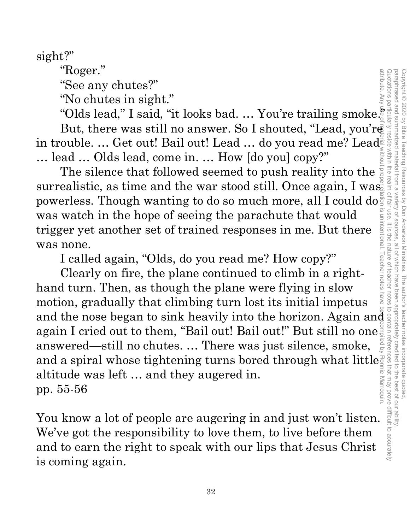sight?"

"Roger."

"See any chutes?"

"No chutes in sight."

"Olds lead," I said, "it looks bad. ... You're trailing smoke." in trouble. … Get out! Bail out! Lead … do you read me? Lead … lead … Olds lead, come in. … How [do you] copy?"

From the search was still no answer. So I shouted, "Lead, you're  $\frac{1}{2}$ <br>
"No chutes in sight."<br>
"Olds lead," I said, "it looks bad. ... You're trailing smoke  $\frac{1}{2}$ <br>
But, there was still no answer. So I shouted, "Le The silence that followed seemed to push reality into the surrealistic, as time and the war stood still. Once again, I was powerless. Though wanting to do so much more, all I could do was watch in the hope of seeing the parachute that would trigger yet another set of trained responses in me. But there was none.

I called again, "Olds, do you read me? How copy?"

Clearly on fire, the plane continued to climb in a righthand turn. Then, as though the plane were flying in slow motion, gradually that climbing turn lost its initial impetus and the nose began to sink heavily into the horizon. Again and again I cried out to them, "Bail out! Bail out!" But still no one answered—still no chutes. … There was just silence, smoke, and a spiral whose tightening turns bored through what little altitude was left … and they augered in. pp. 55-56

You know a lot of people are augering in and just won't listen. We've got the responsibility to love them, to live before them and to earn the right to speak with our lips that Jesus Christ is coming again.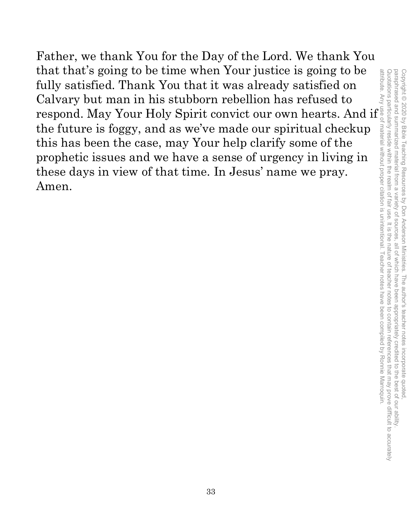Father, we thank You for the Day of the Lord. We thank You that that's going to be time when Your justice is going to be fully satisfied. Thank You that it was already satisfied on Calvary but man in his stubborn rebellion has refused to that that's going to be time when Your justice is going to be fully satisfied. Thank You that it was already satisfied on Felipary but man in his stubborn rebellion has refused to respond. May Your Holy Spirit convict our the future is foggy, and as we've made our spiritual checkup this has been the case, may Your help clarify some of the prophetic issues and we have a sense of urgency in living in these days in view of that time. In Jesus' name we pray. Amen.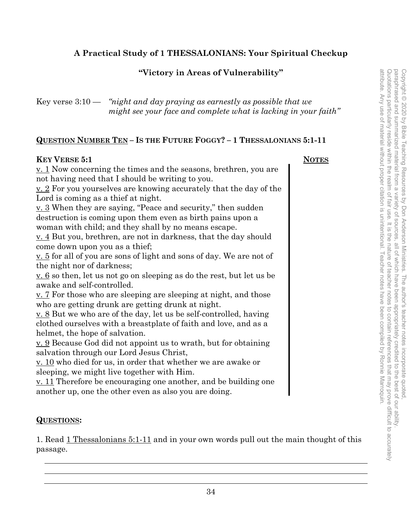#### **A Practical Study of 1 THESSALONIANS: Your Spiritual Checkup**

#### **"Victory in Areas of Vulnerability"**

Key verse 3:10 — *"night and day praying as earnestly as possible that we might see your face and complete what is lacking in your faith"* 

#### **QUESTION NUMBER TEN – IS THE FUTURE FOGGY? – 1 THESSALONIANS 5:1-11**

#### **KEY VERSE 5:1** NOTES

v. 1 Now concerning the times and the seasons, brethren, you are not having need that I should be writing to you. v. 2 For you yourselves are knowing accurately that the day of the Lord is coming as a thief at night. v. 3 When they are saying, "Peace and security," then sudden destruction is coming upon them even as birth pains upon a woman with child; and they shall by no means escape. v. 4 But you, brethren, are not in darkness, that the day should come down upon you as a thief; <u>v. 5</u> for all of you are sons of light and sons of day. We are not of the night nor of darkness; v. 6 so then, let us not go on sleeping as do the rest, but let us be awake and self-controlled. v. 7 For those who are sleeping are sleeping at night, and those who are getting drunk are getting drunk at night. v. 8 But we who are of the day, let us be self-controlled, having clothed ourselves with a breastplate of faith and love, and as a helmet, the hope of salvation.

v. 9 Because God did not appoint us to wrath, but for obtaining salvation through our Lord Jesus Christ,

v. 10 who died for us, in order that whether we are awake or sleeping, we might live together with Him.

v. 11 Therefore be encouraging one another, and be building one another up, one the other even as also you are doing.

#### **QUESTIONS:**

1. Read 1 Thessalonians 5:1-11 and in your own words pull out the main thought of this passage.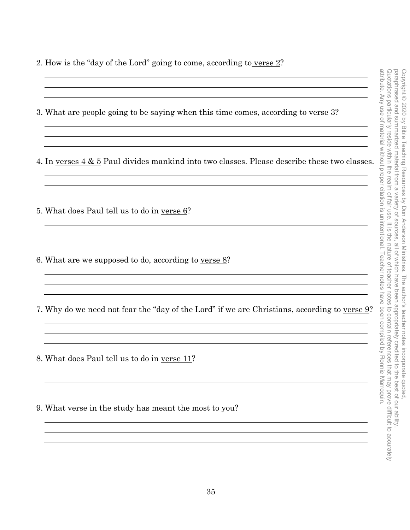2. How is the "day of the Lord" going to come, according to verse 2?

|                                                                                                                                                                                                                                                                               | pesendensed<br>distrions                                                                                                                       |
|-------------------------------------------------------------------------------------------------------------------------------------------------------------------------------------------------------------------------------------------------------------------------------|------------------------------------------------------------------------------------------------------------------------------------------------|
| 3. What are people going to be saying when this time comes, according to verse 3?                                                                                                                                                                                             | attribute. Any use<br>particularly<br>and<br>summarized                                                                                        |
| 4. In verses $4 \& 5$ Paul divides mankind into two classes. Please describe these two classes.                                                                                                                                                                               | of material without<br>reside<br>within the<br>material from                                                                                   |
| 5. What does Paul tell us to do in verse 6?                                                                                                                                                                                                                                   | proper citation is unintentional.<br>realm<br>$\overline{\omega}$<br>$\overline{O}$<br>variety<br>jalr<br>osn<br>$\supseteq$<br>$\frac{1}{5!}$ |
| 6. What are we supposed to do, according to verse $8$ ?                                                                                                                                                                                                                       | sources<br>the<br>all of which<br>nature<br>Teacher notes<br>$\supseteq$<br>teachel                                                            |
| 7. Why do we need not fear the "day of the Lord" if we are Christians, according to verse 9?                                                                                                                                                                                  | have<br>been<br>notes<br>have<br>appropriately<br>peen<br>to contain refe                                                                      |
| the control of the control of the control of the control of the control of the control of the control of the control of the control of the control of the control of the control of the control of the control of the control<br>8. What does Paul tell us to do in verse 11? | compiled<br>credited<br>rences<br>by Ron                                                                                                       |
| 9. What verse in the study has meant the most to you?                                                                                                                                                                                                                         | to the best of our ability<br>that may prove difficult to accurately<br>nie Marroquin                                                          |
|                                                                                                                                                                                                                                                                               |                                                                                                                                                |